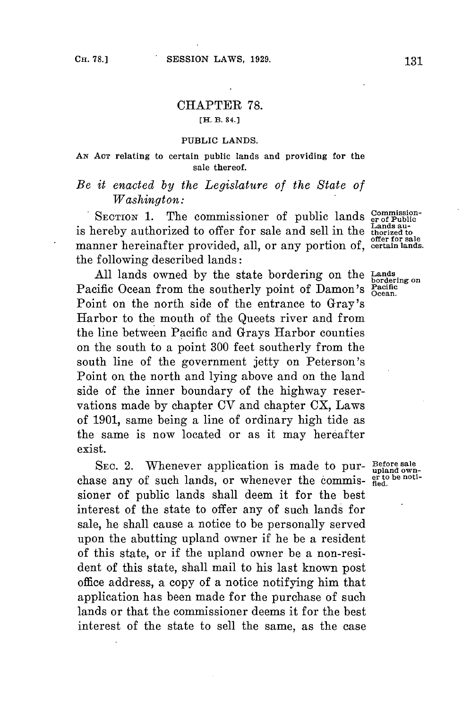## CHAPTER **78. [H. B. 84.]**

## **PUBLIC LANDS.**

## **AN ACT relating to certain public lands and providing for the sale thereof.**

## *Be it enacted by the Legislature of the State of Washington:*

SECTION 1. The commissioner of public lands commissionis hereby authorized to offer for sale and sell in the **thorized** to manner hereinafter provided, all, or any portion of, **certain lands.** the following described lands:

**All** lands owned **by** the state bordering on the **Lands bordering on** Pacific Ocean from the southerly point of Damon's **Pacific** Point on the north side of the entrance to Gray's Harbor to the mouth of the Queets river and from the line between Pacific and Grays Harbor counties on the south to a point **300** feet southerly from the south line of the government jetty on Peterson's Point on the north and lying above and on the land side of the inner boundary of the highway reservations made **by** chapter **CV** and chapter CX, Laws **of 1901,** same being a line of ordinary high tide as the same is now located or as it may hereafter exist.

SEC. 2. Whenever application is made to pur- **Before sale** chase any of such lands, or whenever the commis-  $\frac{\text{er to be not}}{\text{fled.}}$ sioner of public lands shall deem it for the best interest of the state to offer any of such lands **for** sale, he shall cause a notice to be personally served upon the abutting upland owner if he be a resident of this state, or if the upland owner be a non-resident of this state, shall mail to his last known post office address, a copy of a notice notifying him that application has been made for the purchase of such lands or that the commissioner deems it **for** the best interest of the state to sell the same, as the case